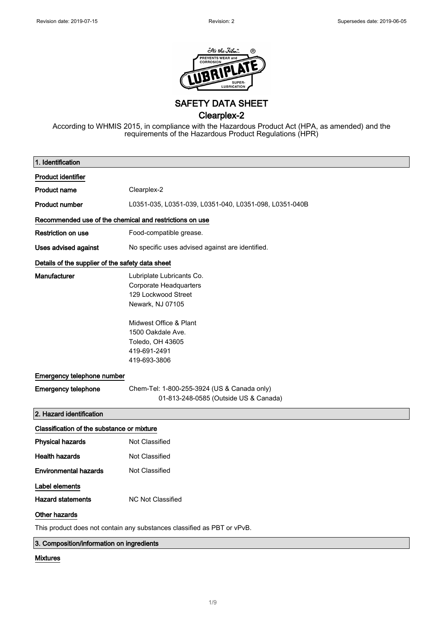

SAFETY DATA SHEET

Clearplex-2

According to WHMIS 2015, in compliance with the Hazardous Product Act (HPA, as amended) and the requirements of the Hazardous Product Regulations (HPR)

| 1. Identification                                                       |                                                                                                 |  |
|-------------------------------------------------------------------------|-------------------------------------------------------------------------------------------------|--|
| <b>Product identifier</b>                                               |                                                                                                 |  |
| <b>Product name</b>                                                     | Clearplex-2                                                                                     |  |
| <b>Product number</b>                                                   | L0351-035, L0351-039, L0351-040, L0351-098, L0351-040B                                          |  |
| Recommended use of the chemical and restrictions on use                 |                                                                                                 |  |
| <b>Restriction on use</b>                                               | Food-compatible grease.                                                                         |  |
| Uses advised against                                                    | No specific uses advised against are identified.                                                |  |
| Details of the supplier of the safety data sheet                        |                                                                                                 |  |
| Manufacturer                                                            | Lubriplate Lubricants Co.<br>Corporate Headquarters<br>129 Lockwood Street<br>Newark, NJ 07105  |  |
|                                                                         | Midwest Office & Plant<br>1500 Oakdale Ave.<br>Toledo, OH 43605<br>419-691-2491<br>419-693-3806 |  |
| Emergency telephone number                                              |                                                                                                 |  |
| <b>Emergency telephone</b>                                              | Chem-Tel: 1-800-255-3924 (US & Canada only)<br>01-813-248-0585 (Outside US & Canada)            |  |
| 2. Hazard identification                                                |                                                                                                 |  |
| Classification of the substance or mixture                              |                                                                                                 |  |
| <b>Physical hazards</b>                                                 | Not Classified                                                                                  |  |
| <b>Health hazards</b>                                                   | Not Classified                                                                                  |  |
| <b>Environmental hazards</b>                                            | Not Classified                                                                                  |  |
| Label elements                                                          |                                                                                                 |  |
| <b>Hazard statements</b>                                                | NC Not Classified                                                                               |  |
| Other hazards                                                           |                                                                                                 |  |
| This product does not contain any substances classified as PBT or vPvB. |                                                                                                 |  |
| 3. Composition/information on ingredients                               |                                                                                                 |  |

### Mixtures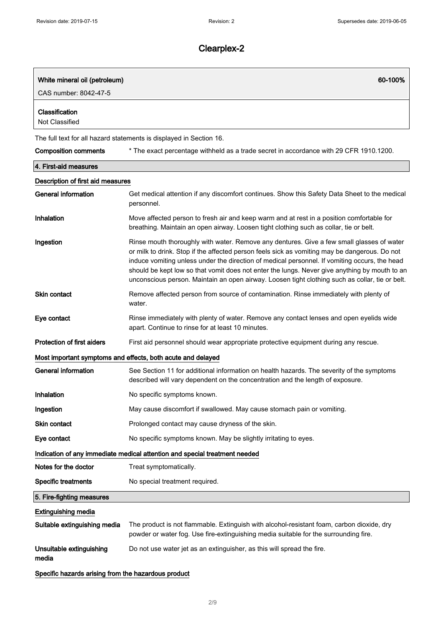| White mineral oil (petroleum)<br>CAS number: 8042-47-5 | 60-100%                                                                                                                                                                                                                                                                                                                                                                                                                                                                                         |
|--------------------------------------------------------|-------------------------------------------------------------------------------------------------------------------------------------------------------------------------------------------------------------------------------------------------------------------------------------------------------------------------------------------------------------------------------------------------------------------------------------------------------------------------------------------------|
| Classification<br>Not Classified                       |                                                                                                                                                                                                                                                                                                                                                                                                                                                                                                 |
|                                                        | The full text for all hazard statements is displayed in Section 16.                                                                                                                                                                                                                                                                                                                                                                                                                             |
| <b>Composition comments</b>                            | * The exact percentage withheld as a trade secret in accordance with 29 CFR 1910.1200.                                                                                                                                                                                                                                                                                                                                                                                                          |
| 4. First-aid measures                                  |                                                                                                                                                                                                                                                                                                                                                                                                                                                                                                 |
| Description of first aid measures                      |                                                                                                                                                                                                                                                                                                                                                                                                                                                                                                 |
| General information                                    | Get medical attention if any discomfort continues. Show this Safety Data Sheet to the medical<br>personnel.                                                                                                                                                                                                                                                                                                                                                                                     |
| Inhalation                                             | Move affected person to fresh air and keep warm and at rest in a position comfortable for<br>breathing. Maintain an open airway. Loosen tight clothing such as collar, tie or belt.                                                                                                                                                                                                                                                                                                             |
| Ingestion                                              | Rinse mouth thoroughly with water. Remove any dentures. Give a few small glasses of water<br>or milk to drink. Stop if the affected person feels sick as vomiting may be dangerous. Do not<br>induce vomiting unless under the direction of medical personnel. If vomiting occurs, the head<br>should be kept low so that vomit does not enter the lungs. Never give anything by mouth to an<br>unconscious person. Maintain an open airway. Loosen tight clothing such as collar, tie or belt. |
| <b>Skin contact</b>                                    | Remove affected person from source of contamination. Rinse immediately with plenty of<br>water.                                                                                                                                                                                                                                                                                                                                                                                                 |
| Eye contact                                            | Rinse immediately with plenty of water. Remove any contact lenses and open eyelids wide<br>apart. Continue to rinse for at least 10 minutes.                                                                                                                                                                                                                                                                                                                                                    |
| <b>Protection of first aiders</b>                      | First aid personnel should wear appropriate protective equipment during any rescue.                                                                                                                                                                                                                                                                                                                                                                                                             |
|                                                        | Most important symptoms and effects, both acute and delayed                                                                                                                                                                                                                                                                                                                                                                                                                                     |
| General information                                    | See Section 11 for additional information on health hazards. The severity of the symptoms<br>described will vary dependent on the concentration and the length of exposure.                                                                                                                                                                                                                                                                                                                     |
| Inhalation                                             | No specific symptoms known.                                                                                                                                                                                                                                                                                                                                                                                                                                                                     |
| Ingestion                                              | May cause discomfort if swallowed. May cause stomach pain or vomiting.                                                                                                                                                                                                                                                                                                                                                                                                                          |
| Skin contact                                           | Prolonged contact may cause dryness of the skin.                                                                                                                                                                                                                                                                                                                                                                                                                                                |
| Eye contact                                            | No specific symptoms known. May be slightly irritating to eyes.                                                                                                                                                                                                                                                                                                                                                                                                                                 |
|                                                        | Indication of any immediate medical attention and special treatment needed                                                                                                                                                                                                                                                                                                                                                                                                                      |
| Notes for the doctor                                   | Treat symptomatically.                                                                                                                                                                                                                                                                                                                                                                                                                                                                          |
| <b>Specific treatments</b>                             | No special treatment required.                                                                                                                                                                                                                                                                                                                                                                                                                                                                  |
| 5. Fire-fighting measures                              |                                                                                                                                                                                                                                                                                                                                                                                                                                                                                                 |
| <b>Extinguishing media</b>                             |                                                                                                                                                                                                                                                                                                                                                                                                                                                                                                 |
| Suitable extinguishing media                           | The product is not flammable. Extinguish with alcohol-resistant foam, carbon dioxide, dry<br>powder or water fog. Use fire-extinguishing media suitable for the surrounding fire.                                                                                                                                                                                                                                                                                                               |
| Unsuitable extinguishing<br>media                      | Do not use water jet as an extinguisher, as this will spread the fire.                                                                                                                                                                                                                                                                                                                                                                                                                          |
| Specific hazards arising from the hazardous product    |                                                                                                                                                                                                                                                                                                                                                                                                                                                                                                 |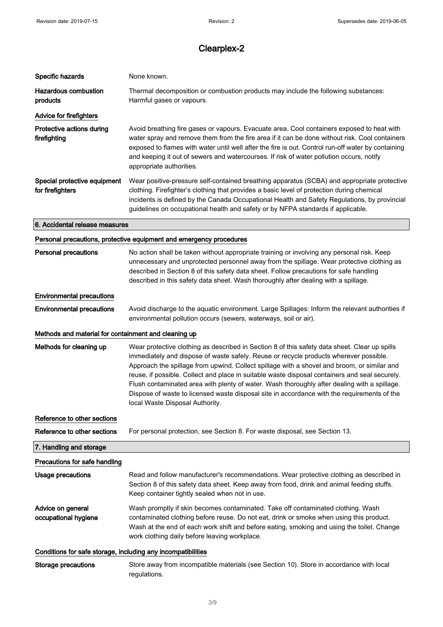| Specific hazards                                             | None known.                                                                                                                                                                                                                                                                                                                                                                                                                                                                                                                                                                                                               |
|--------------------------------------------------------------|---------------------------------------------------------------------------------------------------------------------------------------------------------------------------------------------------------------------------------------------------------------------------------------------------------------------------------------------------------------------------------------------------------------------------------------------------------------------------------------------------------------------------------------------------------------------------------------------------------------------------|
| <b>Hazardous combustion</b><br>products                      | Thermal decomposition or combustion products may include the following substances:<br>Harmful gases or vapours.                                                                                                                                                                                                                                                                                                                                                                                                                                                                                                           |
| Advice for firefighters                                      |                                                                                                                                                                                                                                                                                                                                                                                                                                                                                                                                                                                                                           |
| Protective actions during<br>firefighting                    | Avoid breathing fire gases or vapours. Evacuate area. Cool containers exposed to heat with<br>water spray and remove them from the fire area if it can be done without risk. Cool containers<br>exposed to flames with water until well after the fire is out. Control run-off water by containing<br>and keeping it out of sewers and watercourses. If risk of water pollution occurs, notify<br>appropriate authorities.                                                                                                                                                                                                |
| Special protective equipment<br>for firefighters             | Wear positive-pressure self-contained breathing apparatus (SCBA) and appropriate protective<br>clothing. Firefighter's clothing that provides a basic level of protection during chemical<br>incidents is defined by the Canada Occupational Health and Safety Regulations, by provincial<br>guidelines on occupational health and safety or by NFPA standards if applicable.                                                                                                                                                                                                                                             |
| 6. Accidental release measures                               |                                                                                                                                                                                                                                                                                                                                                                                                                                                                                                                                                                                                                           |
|                                                              | Personal precautions, protective equipment and emergency procedures                                                                                                                                                                                                                                                                                                                                                                                                                                                                                                                                                       |
| <b>Personal precautions</b>                                  | No action shall be taken without appropriate training or involving any personal risk. Keep<br>unnecessary and unprotected personnel away from the spillage. Wear protective clothing as<br>described in Section 8 of this safety data sheet. Follow precautions for safe handling<br>described in this safety data sheet. Wash thoroughly after dealing with a spillage.                                                                                                                                                                                                                                                  |
| <b>Environmental precautions</b>                             |                                                                                                                                                                                                                                                                                                                                                                                                                                                                                                                                                                                                                           |
| <b>Environmental precautions</b>                             | Avoid discharge to the aquatic environment. Large Spillages: Inform the relevant authorities if<br>environmental pollution occurs (sewers, waterways, soil or air).                                                                                                                                                                                                                                                                                                                                                                                                                                                       |
| Methods and material for containment and cleaning up         |                                                                                                                                                                                                                                                                                                                                                                                                                                                                                                                                                                                                                           |
| Methods for cleaning up                                      | Wear protective clothing as described in Section 8 of this safety data sheet. Clear up spills<br>immediately and dispose of waste safely. Reuse or recycle products wherever possible.<br>Approach the spillage from upwind. Collect spillage with a shovel and broom, or similar and<br>reuse, if possible. Collect and place in suitable waste disposal containers and seal securely.<br>Flush contaminated area with plenty of water. Wash thoroughly after dealing with a spillage.<br>Dispose of waste to licensed waste disposal site in accordance with the requirements of the<br>local Waste Disposal Authority. |
| Reference to other sections                                  |                                                                                                                                                                                                                                                                                                                                                                                                                                                                                                                                                                                                                           |
| Reference to other sections                                  | For personal protection, see Section 8. For waste disposal, see Section 13.                                                                                                                                                                                                                                                                                                                                                                                                                                                                                                                                               |
| 7. Handling and storage                                      |                                                                                                                                                                                                                                                                                                                                                                                                                                                                                                                                                                                                                           |
| Precautions for safe handling                                |                                                                                                                                                                                                                                                                                                                                                                                                                                                                                                                                                                                                                           |
| Usage precautions                                            | Read and follow manufacturer's recommendations. Wear protective clothing as described in<br>Section 8 of this safety data sheet. Keep away from food, drink and animal feeding stuffs.<br>Keep container tightly sealed when not in use.                                                                                                                                                                                                                                                                                                                                                                                  |
| Advice on general<br>occupational hygiene                    | Wash promptly if skin becomes contaminated. Take off contaminated clothing. Wash<br>contaminated clothing before reuse. Do not eat, drink or smoke when using this product.<br>Wash at the end of each work shift and before eating, smoking and using the toilet. Change<br>work clothing daily before leaving workplace.                                                                                                                                                                                                                                                                                                |
| Conditions for safe storage, including any incompatibilities |                                                                                                                                                                                                                                                                                                                                                                                                                                                                                                                                                                                                                           |
| <b>Storage precautions</b>                                   | Store away from incompatible materials (see Section 10). Store in accordance with local<br>regulations.                                                                                                                                                                                                                                                                                                                                                                                                                                                                                                                   |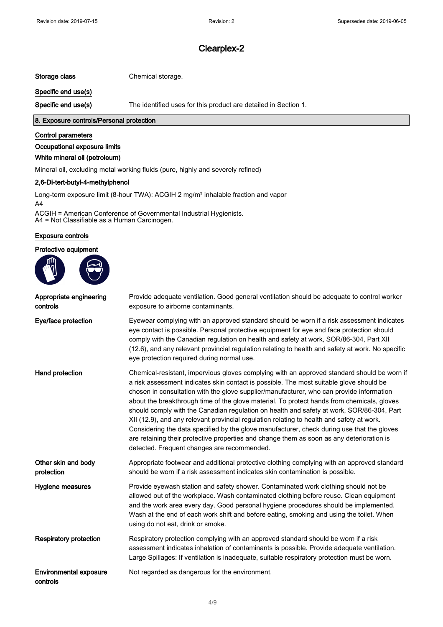Storage class Chemical storage.

Specific end use(s)

Specific end use(s) The identified uses for this product are detailed in Section 1.

### 8. Exposure controls/Personal protection

#### Control parameters

### Occupational exposure limits

### White mineral oil (petroleum)

Mineral oil, excluding metal working fluids (pure, highly and severely refined)

### 2,6-Di-tert-butyl-4-methylphenol

Long-term exposure limit (8-hour TWA): ACGIH 2 mg/m<sup>3</sup> inhalable fraction and vapor A4

ACGIH = American Conference of Governmental Industrial Hygienists. A4 = Not Classifiable as a Human Carcinogen.

### Exposure controls

### Protective equipment



| Appropriate engineering<br>controls       | Provide adequate ventilation. Good general ventilation should be adequate to control worker<br>exposure to airborne contaminants.                                                                                                                                                                                                                                                                                                                                                                                                                                                                                                                                                                                                                                                                                    |
|-------------------------------------------|----------------------------------------------------------------------------------------------------------------------------------------------------------------------------------------------------------------------------------------------------------------------------------------------------------------------------------------------------------------------------------------------------------------------------------------------------------------------------------------------------------------------------------------------------------------------------------------------------------------------------------------------------------------------------------------------------------------------------------------------------------------------------------------------------------------------|
| Eye/face protection                       | Eyewear complying with an approved standard should be worn if a risk assessment indicates<br>eye contact is possible. Personal protective equipment for eye and face protection should<br>comply with the Canadian regulation on health and safety at work, SOR/86-304, Part XII<br>(12.6), and any relevant provincial regulation relating to health and safety at work. No specific<br>eye protection required during normal use.                                                                                                                                                                                                                                                                                                                                                                                  |
| Hand protection                           | Chemical-resistant, impervious gloves complying with an approved standard should be worn if<br>a risk assessment indicates skin contact is possible. The most suitable glove should be<br>chosen in consultation with the glove supplier/manufacturer, who can provide information<br>about the breakthrough time of the glove material. To protect hands from chemicals, gloves<br>should comply with the Canadian regulation on health and safety at work, SOR/86-304, Part<br>XII (12.9), and any relevant provincial regulation relating to health and safety at work.<br>Considering the data specified by the glove manufacturer, check during use that the gloves<br>are retaining their protective properties and change them as soon as any deterioration is<br>detected. Frequent changes are recommended. |
| Other skin and body<br>protection         | Appropriate footwear and additional protective clothing complying with an approved standard<br>should be worn if a risk assessment indicates skin contamination is possible.                                                                                                                                                                                                                                                                                                                                                                                                                                                                                                                                                                                                                                         |
| Hygiene measures                          | Provide eyewash station and safety shower. Contaminated work clothing should not be<br>allowed out of the workplace. Wash contaminated clothing before reuse. Clean equipment<br>and the work area every day. Good personal hygiene procedures should be implemented.<br>Wash at the end of each work shift and before eating, smoking and using the toilet. When<br>using do not eat, drink or smoke.                                                                                                                                                                                                                                                                                                                                                                                                               |
| <b>Respiratory protection</b>             | Respiratory protection complying with an approved standard should be worn if a risk<br>assessment indicates inhalation of contaminants is possible. Provide adequate ventilation.<br>Large Spillages: If ventilation is inadequate, suitable respiratory protection must be worn.                                                                                                                                                                                                                                                                                                                                                                                                                                                                                                                                    |
| <b>Environmental exposure</b><br>controls | Not regarded as dangerous for the environment.                                                                                                                                                                                                                                                                                                                                                                                                                                                                                                                                                                                                                                                                                                                                                                       |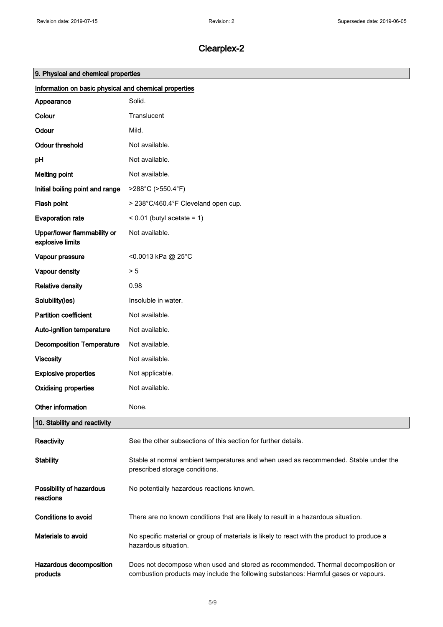| 9. Physical and chemical properties                   |                                                                                                                                                                         |  |  |
|-------------------------------------------------------|-------------------------------------------------------------------------------------------------------------------------------------------------------------------------|--|--|
| Information on basic physical and chemical properties |                                                                                                                                                                         |  |  |
| Appearance                                            | Solid.                                                                                                                                                                  |  |  |
| Colour                                                | Translucent                                                                                                                                                             |  |  |
| Odour                                                 | Mild.                                                                                                                                                                   |  |  |
| <b>Odour threshold</b>                                | Not available.                                                                                                                                                          |  |  |
| pH                                                    | Not available.                                                                                                                                                          |  |  |
| <b>Melting point</b>                                  | Not available.                                                                                                                                                          |  |  |
| Initial boiling point and range                       | >288°C (>550.4°F)                                                                                                                                                       |  |  |
| Flash point                                           | > 238°C/460.4°F Cleveland open cup.                                                                                                                                     |  |  |
| <b>Evaporation rate</b>                               | $< 0.01$ (butyl acetate = 1)                                                                                                                                            |  |  |
| Upper/lower flammability or<br>explosive limits       | Not available.                                                                                                                                                          |  |  |
| Vapour pressure                                       | <0.0013 kPa @ 25°C                                                                                                                                                      |  |  |
| Vapour density                                        | > 5                                                                                                                                                                     |  |  |
| <b>Relative density</b>                               | 0.98                                                                                                                                                                    |  |  |
| Solubility(ies)                                       | Insoluble in water.                                                                                                                                                     |  |  |
| <b>Partition coefficient</b>                          | Not available.                                                                                                                                                          |  |  |
| Auto-ignition temperature                             | Not available.                                                                                                                                                          |  |  |
| <b>Decomposition Temperature</b>                      | Not available.                                                                                                                                                          |  |  |
| <b>Viscosity</b>                                      | Not available.                                                                                                                                                          |  |  |
| <b>Explosive properties</b>                           | Not applicable.                                                                                                                                                         |  |  |
| <b>Oxidising properties</b>                           | Not available.                                                                                                                                                          |  |  |
| Other information                                     | None.                                                                                                                                                                   |  |  |
| 10. Stability and reactivity                          |                                                                                                                                                                         |  |  |
| Reactivity                                            | See the other subsections of this section for further details.                                                                                                          |  |  |
| <b>Stability</b>                                      | Stable at normal ambient temperatures and when used as recommended. Stable under the<br>prescribed storage conditions.                                                  |  |  |
| Possibility of hazardous<br>reactions                 | No potentially hazardous reactions known.                                                                                                                               |  |  |
| Conditions to avoid                                   | There are no known conditions that are likely to result in a hazardous situation.                                                                                       |  |  |
| Materials to avoid                                    | No specific material or group of materials is likely to react with the product to produce a<br>hazardous situation.                                                     |  |  |
| Hazardous decomposition<br>products                   | Does not decompose when used and stored as recommended. Thermal decomposition or<br>combustion products may include the following substances: Harmful gases or vapours. |  |  |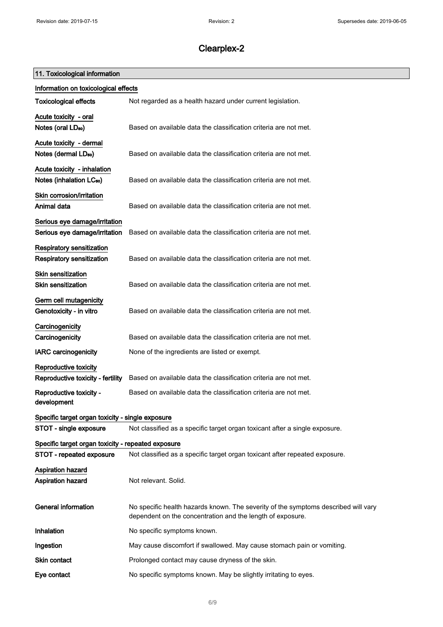### 11. Toxicological information

| Information on toxicological effects               |                                                                                                                                                  |
|----------------------------------------------------|--------------------------------------------------------------------------------------------------------------------------------------------------|
| <b>Toxicological effects</b>                       | Not regarded as a health hazard under current legislation.                                                                                       |
| Acute toxicity - oral                              |                                                                                                                                                  |
| Notes (oral LD <sub>50</sub> )                     | Based on available data the classification criteria are not met.                                                                                 |
| Acute toxicity - dermal                            |                                                                                                                                                  |
| Notes (dermal LD <sub>50</sub> )                   | Based on available data the classification criteria are not met.                                                                                 |
| Acute toxicity - inhalation                        |                                                                                                                                                  |
| Notes (inhalation LC <sub>50</sub> )               | Based on available data the classification criteria are not met.                                                                                 |
| Skin corrosion/irritation                          |                                                                                                                                                  |
| Animal data                                        | Based on available data the classification criteria are not met.                                                                                 |
| Serious eye damage/irritation                      |                                                                                                                                                  |
| Serious eye damage/irritation                      | Based on available data the classification criteria are not met.                                                                                 |
| Respiratory sensitization                          |                                                                                                                                                  |
| Respiratory sensitization                          | Based on available data the classification criteria are not met.                                                                                 |
| Skin sensitization                                 |                                                                                                                                                  |
| <b>Skin sensitization</b>                          | Based on available data the classification criteria are not met.                                                                                 |
| Germ cell mutagenicity                             |                                                                                                                                                  |
| Genotoxicity - in vitro                            | Based on available data the classification criteria are not met.                                                                                 |
| Carcinogenicity                                    |                                                                                                                                                  |
| Carcinogenicity                                    | Based on available data the classification criteria are not met.                                                                                 |
| <b>IARC carcinogenicity</b>                        | None of the ingredients are listed or exempt.                                                                                                    |
| <b>Reproductive toxicity</b>                       |                                                                                                                                                  |
| Reproductive toxicity - fertility                  | Based on available data the classification criteria are not met.                                                                                 |
| Reproductive toxicity -<br>development             | Based on available data the classification criteria are not met.                                                                                 |
| Specific target organ toxicity - single exposure   |                                                                                                                                                  |
| STOT - single exposure                             | Not classified as a specific target organ toxicant after a single exposure.                                                                      |
| Specific target organ toxicity - repeated exposure |                                                                                                                                                  |
| STOT - repeated exposure                           | Not classified as a specific target organ toxicant after repeated exposure.                                                                      |
| Aspiration hazard                                  |                                                                                                                                                  |
| <b>Aspiration hazard</b>                           | Not relevant. Solid.                                                                                                                             |
|                                                    |                                                                                                                                                  |
| <b>General information</b>                         | No specific health hazards known. The severity of the symptoms described will vary<br>dependent on the concentration and the length of exposure. |
| Inhalation                                         | No specific symptoms known.                                                                                                                      |
| Ingestion                                          | May cause discomfort if swallowed. May cause stomach pain or vomiting.                                                                           |
| Skin contact                                       | Prolonged contact may cause dryness of the skin.                                                                                                 |
| Eye contact                                        | No specific symptoms known. May be slightly irritating to eyes.                                                                                  |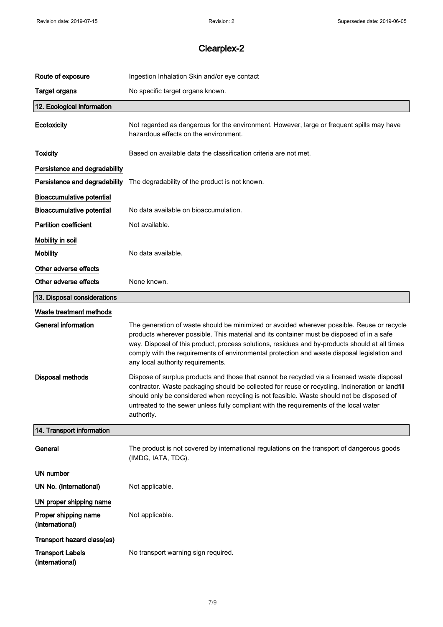| Route of exposure                          | Ingestion Inhalation Skin and/or eye contact                                                                                                                                                                                                                                                                                                                                                                                  |
|--------------------------------------------|-------------------------------------------------------------------------------------------------------------------------------------------------------------------------------------------------------------------------------------------------------------------------------------------------------------------------------------------------------------------------------------------------------------------------------|
| <b>Target organs</b>                       | No specific target organs known.                                                                                                                                                                                                                                                                                                                                                                                              |
| 12. Ecological information                 |                                                                                                                                                                                                                                                                                                                                                                                                                               |
| Ecotoxicity                                | Not regarded as dangerous for the environment. However, large or frequent spills may have<br>hazardous effects on the environment.                                                                                                                                                                                                                                                                                            |
| <b>Toxicity</b>                            | Based on available data the classification criteria are not met.                                                                                                                                                                                                                                                                                                                                                              |
| Persistence and degradability              |                                                                                                                                                                                                                                                                                                                                                                                                                               |
| Persistence and degradability              | The degradability of the product is not known.                                                                                                                                                                                                                                                                                                                                                                                |
| <b>Bioaccumulative potential</b>           |                                                                                                                                                                                                                                                                                                                                                                                                                               |
| Bioaccumulative potential                  | No data available on bioaccumulation.                                                                                                                                                                                                                                                                                                                                                                                         |
| <b>Partition coefficient</b>               | Not available.                                                                                                                                                                                                                                                                                                                                                                                                                |
| Mobility in soil                           |                                                                                                                                                                                                                                                                                                                                                                                                                               |
| <b>Mobility</b>                            | No data available.                                                                                                                                                                                                                                                                                                                                                                                                            |
| Other adverse effects                      |                                                                                                                                                                                                                                                                                                                                                                                                                               |
| Other adverse effects                      | None known.                                                                                                                                                                                                                                                                                                                                                                                                                   |
| 13. Disposal considerations                |                                                                                                                                                                                                                                                                                                                                                                                                                               |
| Waste treatment methods                    |                                                                                                                                                                                                                                                                                                                                                                                                                               |
| <b>General information</b>                 | The generation of waste should be minimized or avoided wherever possible. Reuse or recycle<br>products wherever possible. This material and its container must be disposed of in a safe<br>way. Disposal of this product, process solutions, residues and by-products should at all times<br>comply with the requirements of environmental protection and waste disposal legislation and<br>any local authority requirements. |
| <b>Disposal methods</b>                    | Dispose of surplus products and those that cannot be recycled via a licensed waste disposal<br>contractor. Waste packaging should be collected for reuse or recycling. Incineration or landfill<br>should only be considered when recycling is not feasible. Waste should not be disposed of<br>untreated to the sewer unless fully compliant with the requirements of the local water<br>authority.                          |
| 14. Transport information                  |                                                                                                                                                                                                                                                                                                                                                                                                                               |
| General                                    | The product is not covered by international regulations on the transport of dangerous goods<br>(IMDG, IATA, TDG).                                                                                                                                                                                                                                                                                                             |
| UN number                                  |                                                                                                                                                                                                                                                                                                                                                                                                                               |
| UN No. (International)                     | Not applicable.                                                                                                                                                                                                                                                                                                                                                                                                               |
| UN proper shipping name                    |                                                                                                                                                                                                                                                                                                                                                                                                                               |
| Proper shipping name<br>(International)    | Not applicable.                                                                                                                                                                                                                                                                                                                                                                                                               |
| Transport hazard class(es)                 |                                                                                                                                                                                                                                                                                                                                                                                                                               |
| <b>Transport Labels</b><br>(International) | No transport warning sign required.                                                                                                                                                                                                                                                                                                                                                                                           |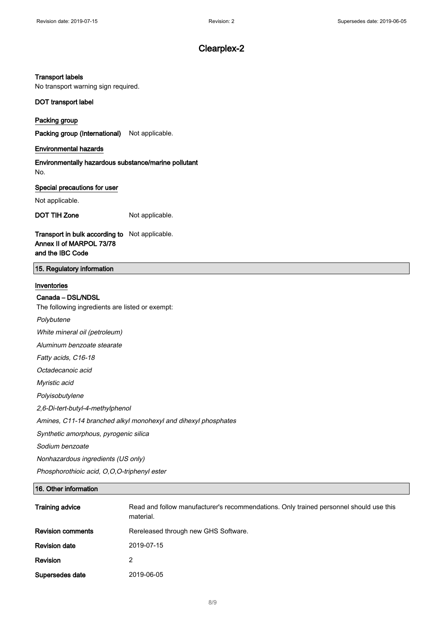#### Transport labels

No transport warning sign required.

#### DOT transport label

Packing group

Packing group (International) Not applicable.

### Environmental hazards

Environmentally hazardous substance/marine pollutant No.

#### Special precautions for user

Not applicable.

DOT TIH Zone Not applicable.

### Transport in bulk according to Not applicable. Annex II of MARPOL 73/78 and the IBC Code

### 15. Regulatory information

### Inventories

### Canada – DSL/NDSL

The following ingredients are listed or exempt:

Polybutene

White mineral oil (petroleum)

Aluminum benzoate stearate

Fatty acids, C16-18

Octadecanoic acid

Myristic acid

Polyisobutylene

2,6-Di-tert-butyl-4-methylphenol

Amines, C11-14 branched alkyl monohexyl and dihexyl phosphates

Synthetic amorphous, pyrogenic silica

Sodium benzoate

Nonhazardous ingredients (US only)

Phosphorothioic acid, O,O,O-triphenyl ester

### 16. Other information

| <b>Training advice</b>   | Read and follow manufacturer's recommendations. Only trained personnel should use this<br>material. |
|--------------------------|-----------------------------------------------------------------------------------------------------|
| <b>Revision comments</b> | Rereleased through new GHS Software.                                                                |
| <b>Revision date</b>     | 2019-07-15                                                                                          |
| Revision                 | 2                                                                                                   |
| Supersedes date          | 2019-06-05                                                                                          |